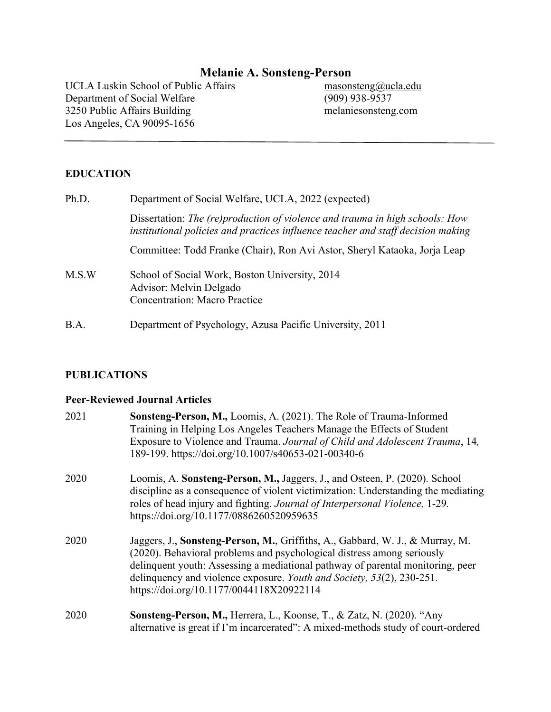# **Melanie A. Sonsteng-Person**

UCLA Luskin School of Public Affairs Department of Social Welfare 3250 Public Affairs Building Los Angeles, CA 90095-1656

masonsteng@ucla.edu (909) 938-9537 melaniesonsteng.com

### **EDUCATION**

| Ph.D. | Department of Social Welfare, UCLA, 2022 (expected)                                                                                                              |
|-------|------------------------------------------------------------------------------------------------------------------------------------------------------------------|
|       | Dissertation: The (re)production of violence and trauma in high schools: How<br>institutional policies and practices influence teacher and staff decision making |
|       | Committee: Todd Franke (Chair), Ron Avi Astor, Sheryl Kataoka, Jorja Leap                                                                                        |
| M.S.W | School of Social Work, Boston University, 2014<br>Advisor: Melvin Delgado<br><b>Concentration: Macro Practice</b>                                                |
| B.A.  | Department of Psychology, Azusa Pacific University, 2011                                                                                                         |

### **PUBLICATIONS**

### **Peer-Reviewed Journal Articles**

| 2021 | Sonsteng-Person, M., Loomis, A. (2021). The Role of Trauma-Informed<br>Training in Helping Los Angeles Teachers Manage the Effects of Student<br>Exposure to Violence and Trauma. Journal of Child and Adolescent Trauma, 14,<br>189-199. https://doi.org/10.1007/s40653-021-00340-6                                                                           |
|------|----------------------------------------------------------------------------------------------------------------------------------------------------------------------------------------------------------------------------------------------------------------------------------------------------------------------------------------------------------------|
| 2020 | Loomis, A. Sonsteng-Person, M., Jaggers, J., and Osteen, P. (2020). School<br>discipline as a consequence of violent victimization: Understanding the mediating<br>roles of head injury and fighting. Journal of Interpersonal Violence, 1-29.<br>https://doi.org/10.1177/0886260520959635                                                                     |
| 2020 | Jaggers, J., Sonsteng-Person, M., Griffiths, A., Gabbard, W. J., & Murray, M.<br>(2020). Behavioral problems and psychological distress among seriously<br>delinquent youth: Assessing a mediational pathway of parental monitoring, peer<br>delinquency and violence exposure. Youth and Society, 53(2), 230-251.<br>https://doi.org/10.1177/0044118X20922114 |
| 2020 | <b>Sonsteng-Person, M., Herrera, L., Koonse, T., &amp; Zatz, N. (2020). "Any</b><br>alternative is great if I'm incarcerated": A mixed-methods study of court-ordered                                                                                                                                                                                          |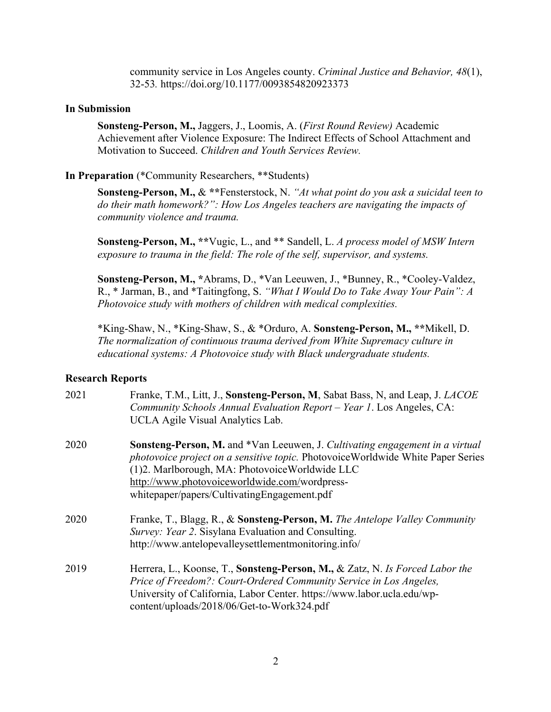community service in Los Angeles county. *Criminal Justice and Behavior, 48*(1), 32-53*.* https://doi.org/10.1177/0093854820923373

#### **In Submission**

**Sonsteng-Person, M.,** Jaggers, J., Loomis, A. (*First Round Review)* Academic Achievement after Violence Exposure: The Indirect Effects of School Attachment and Motivation to Succeed. *Children and Youth Services Review.* 

#### **In Preparation** (\*Community Researchers, \*\*Students)

**Sonsteng-Person, M.,** & **\*\***Fensterstock, N. *"At what point do you ask a suicidal teen to do their math homework?": How Los Angeles teachers are navigating the impacts of community violence and trauma.*

**Sonsteng-Person, M., \*\***Vugic, L., and \*\* Sandell, L. *A process model of MSW Intern exposure to trauma in the field: The role of the self, supervisor, and systems.*

**Sonsteng-Person, M., \***Abrams, D., \*Van Leeuwen, J., \*Bunney, R., \*Cooley-Valdez, R., \* Jarman, B., and \*Taitingfong, S. *"What I Would Do to Take Away Your Pain": A Photovoice study with mothers of children with medical complexities.* 

\*King-Shaw, N., \*King-Shaw, S., & \*Orduro, A. **Sonsteng-Person, M., \*\***Mikell, D. *The normalization of continuous trauma derived from White Supremacy culture in educational systems: A Photovoice study with Black undergraduate students.*

#### **Research Reports**

| 2021 | Franke, T.M., Litt, J., Sonsteng-Person, M. Sabat Bass, N. and Leap, J. LACOE<br>Community Schools Annual Evaluation Report - Year 1. Los Angeles, CA:<br>UCLA Agile Visual Analytics Lab.                                                                                                                                        |
|------|-----------------------------------------------------------------------------------------------------------------------------------------------------------------------------------------------------------------------------------------------------------------------------------------------------------------------------------|
| 2020 | <b>Sonsteng-Person, M.</b> and *Van Leeuwen, J. Cultivating engagement in a virtual<br><i>photovoice project on a sensitive topic.</i> Photovoice Worldwide White Paper Series<br>(1)2. Marlborough, MA: Photovoice Worldwide LLC<br>http://www.photovoiceworldwide.com/wordpress-<br>whitepaper/papers/CultivatingEngagement.pdf |
| 2020 | Franke, T., Blagg, R., & Sonsteng-Person, M. The Antelope Valley Community<br>Survey: Year 2. Sisylana Evaluation and Consulting.<br>http://www.antelopevalleysettlementmonitoring.info/                                                                                                                                          |
| 2019 | Herrera, L., Koonse, T., Sonsteng-Person, M., & Zatz, N. Is Forced Labor the<br>Price of Freedom?: Court-Ordered Community Service in Los Angeles,<br>University of California, Labor Center. https://www.labor.ucla.edu/wp-<br>content/uploads/2018/06/Get-to-Work324.pdf                                                        |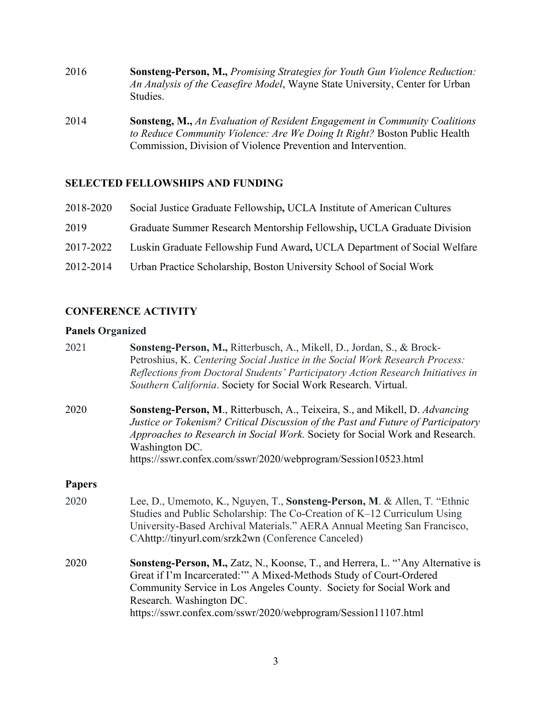- 2016 **Sonsteng-Person, M.,** *Promising Strategies for Youth Gun Violence Reduction: An Analysis of the Ceasefire Model*, Wayne State University, Center for Urban Studies.
- 2014 **Sonsteng, M.,** *An Evaluation of Resident Engagement in Community Coalitions to Reduce Community Violence: Are We Doing It Right?* Boston Public Health Commission, Division of Violence Prevention and Intervention.

### **SELECTED FELLOWSHIPS AND FUNDING**

| 2018-2020 | Social Justice Graduate Fellowship, UCLA Institute of American Cultures  |
|-----------|--------------------------------------------------------------------------|
| 2019      | Graduate Summer Research Mentorship Fellowship, UCLA Graduate Division   |
| 2017-2022 | Luskin Graduate Fellowship Fund Award, UCLA Department of Social Welfare |
| 2012-2014 | Urban Practice Scholarship, Boston University School of Social Work      |

### **CONFERENCE ACTIVITY**

### **Panels Organized**

| 2021          | Sonsteng-Person, M., Ritterbusch, A., Mikell, D., Jordan, S., & Brock-<br>Petroshius, K. Centering Social Justice in the Social Work Research Process:<br>Reflections from Doctoral Students' Participatory Action Research Initiatives in<br>Southern California. Society for Social Work Research. Virtual.              |
|---------------|----------------------------------------------------------------------------------------------------------------------------------------------------------------------------------------------------------------------------------------------------------------------------------------------------------------------------|
| 2020          | Sonsteng-Person, M., Ritterbusch, A., Teixeira, S., and Mikell, D. Advancing<br>Justice or Tokenism? Critical Discussion of the Past and Future of Participatory<br>Approaches to Research in Social Work. Society for Social Work and Research.<br>Washington DC.                                                         |
|               | https://sswr.confex.com/sswr/2020/webprogram/Session10523.html                                                                                                                                                                                                                                                             |
| <b>Papers</b> |                                                                                                                                                                                                                                                                                                                            |
| 2020          | Lee, D., Umemoto, K., Nguyen, T., Sonsteng-Person, M. & Allen, T. "Ethnic<br>Studies and Public Scholarship: The Co-Creation of K–12 Curriculum Using<br>University-Based Archival Materials." AERA Annual Meeting San Francisco,<br>CAhttp://tinyurl.com/srzk2wn (Conference Canceled)                                    |
| 2020          | Sonsteng-Person, M., Zatz, N., Koonse, T., and Herrera, L. "Any Alternative is<br>Great if I'm Incarcerated:" A Mixed-Methods Study of Court-Ordered<br>Community Service in Los Angeles County. Society for Social Work and<br>Research. Washington DC.<br>https://sswr.confex.com/sswr/2020/webprogram/Session11107.html |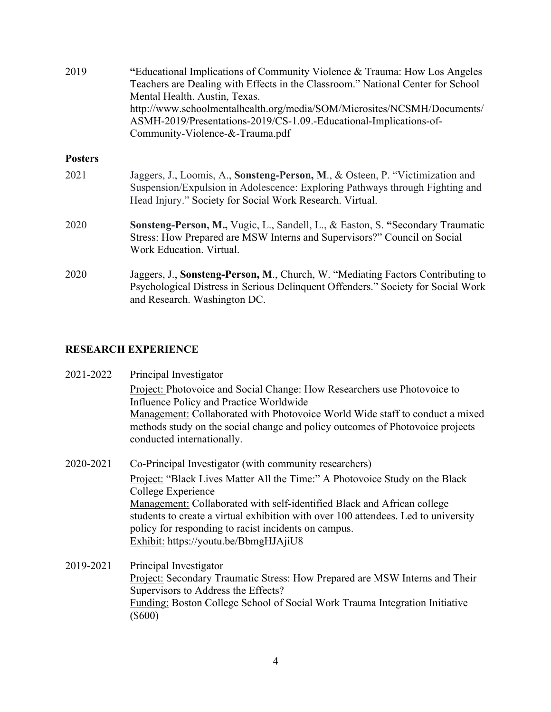| 2019           | "Educational Implications of Community Violence & Trauma: How Los Angeles<br>Teachers are Dealing with Effects in the Classroom." National Center for School<br>Mental Health. Austin, Texas.<br>http://www.schoolmentalhealth.org/media/SOM/Microsites/NCSMH/Documents/<br>ASMH-2019/Presentations-2019/CS-1.09.-Educational-Implications-of-<br>Community-Violence-&-Trauma.pdf |
|----------------|-----------------------------------------------------------------------------------------------------------------------------------------------------------------------------------------------------------------------------------------------------------------------------------------------------------------------------------------------------------------------------------|
| <b>Posters</b> |                                                                                                                                                                                                                                                                                                                                                                                   |
| 2021           | Jaggers, J., Loomis, A., Sonsteng-Person, M., & Osteen, P. "Victimization and<br>Suspension/Expulsion in Adolescence: Exploring Pathways through Fighting and<br>Head Injury." Society for Social Work Research. Virtual.                                                                                                                                                         |
| 2020           | Sonsteng-Person, M., Vugic, L., Sandell, L., & Easton, S. "Secondary Traumatic<br>Stress: How Prepared are MSW Interns and Supervisors?" Council on Social<br>Work Education. Virtual.                                                                                                                                                                                            |
| 2020           | Jaggers, J., Sonsteng-Person, M., Church, W. "Mediating Factors Contributing to<br>Psychological Distress in Serious Delinquent Offenders." Society for Social Work<br>and Research. Washington DC.                                                                                                                                                                               |

#### **RESEARCH EXPERIENCE**

| 2021-2022 | Principal Investigator<br><b>Project:</b> Photovoice and Social Change: How Researchers use Photovoice to<br>Influence Policy and Practice Worldwide<br>Management: Collaborated with Photovoice World Wide staff to conduct a mixed<br>methods study on the social change and policy outcomes of Photovoice projects<br>conducted internationally.                                                                                  |
|-----------|--------------------------------------------------------------------------------------------------------------------------------------------------------------------------------------------------------------------------------------------------------------------------------------------------------------------------------------------------------------------------------------------------------------------------------------|
| 2020-2021 | Co-Principal Investigator (with community researchers)<br><u>Project:</u> "Black Lives Matter All the Time:" A Photovoice Study on the Black<br>College Experience<br>Management: Collaborated with self-identified Black and African college<br>students to create a virtual exhibition with over 100 attendees. Led to university<br>policy for responding to racist incidents on campus.<br>Exhibit: https://youtu.be/BbmgHJAjiU8 |
| 2019-2021 | Principal Investigator<br>Project: Secondary Traumatic Stress: How Prepared are MSW Interns and Their<br>Supervisors to Address the Effects?<br><b>Funding: Boston College School of Social Work Trauma Integration Initiative</b><br>$(\$600)$                                                                                                                                                                                      |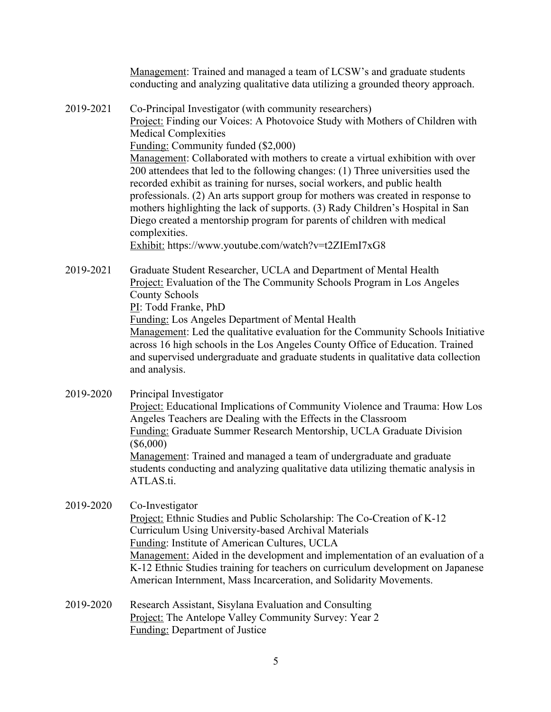Management: Trained and managed a team of LCSW's and graduate students conducting and analyzing qualitative data utilizing a grounded theory approach. 2019-2021 Co-Principal Investigator (with community researchers) Project: Finding our Voices: A Photovoice Study with Mothers of Children with Medical Complexities Funding: Community funded (\$2,000) Management: Collaborated with mothers to create a virtual exhibition with over 200 attendees that led to the following changes: (1) Three universities used the recorded exhibit as training for nurses, social workers, and public health professionals. (2) An arts support group for mothers was created in response to mothers highlighting the lack of supports. (3) Rady Children's Hospital in San Diego created a mentorship program for parents of children with medical complexities. Exhibit: https://www.youtube.com/watch?v=t2ZIEmI7xG8 2019-2021 Graduate Student Researcher, UCLA and Department of Mental Health Project: Evaluation of the The Community Schools Program in Los Angeles County Schools PI: Todd Franke, PhD Funding: Los Angeles Department of Mental Health Management: Led the qualitative evaluation for the Community Schools Initiative across 16 high schools in the Los Angeles County Office of Education. Trained and supervised undergraduate and graduate students in qualitative data collection and analysis. 2019-2020 Principal Investigator Project: Educational Implications of Community Violence and Trauma: How Los Angeles Teachers are Dealing with the Effects in the Classroom Funding: Graduate Summer Research Mentorship, UCLA Graduate Division (\$6,000) Management: Trained and managed a team of undergraduate and graduate students conducting and analyzing qualitative data utilizing thematic analysis in ATLAS.ti. 2019-2020 Co-Investigator Project: Ethnic Studies and Public Scholarship: The Co-Creation of K-12 Curriculum Using University-based Archival Materials Funding: Institute of American Cultures, UCLA Management: Aided in the development and implementation of an evaluation of a K-12 Ethnic Studies training for teachers on curriculum development on Japanese American Internment, Mass Incarceration, and Solidarity Movements.

2019-2020 Research Assistant, Sisylana Evaluation and Consulting Project: The Antelope Valley Community Survey: Year 2 Funding: Department of Justice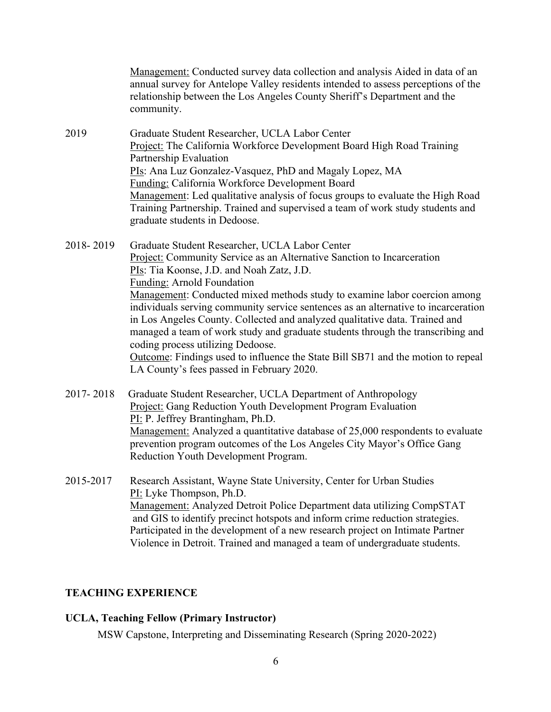|                            | Management: Conducted survey data collection and analysis Aided in data of an<br>annual survey for Antelope Valley residents intended to assess perceptions of the<br>relationship between the Los Angeles County Sheriff's Department and the<br>community.                                                                                                                                                                                                                                                                                                                                                                                                                                                                 |
|----------------------------|------------------------------------------------------------------------------------------------------------------------------------------------------------------------------------------------------------------------------------------------------------------------------------------------------------------------------------------------------------------------------------------------------------------------------------------------------------------------------------------------------------------------------------------------------------------------------------------------------------------------------------------------------------------------------------------------------------------------------|
| 2019                       | Graduate Student Researcher, UCLA Labor Center<br>Project: The California Workforce Development Board High Road Training<br>Partnership Evaluation<br>PIs: Ana Luz Gonzalez-Vasquez, PhD and Magaly Lopez, MA<br>Funding: California Workforce Development Board<br>Management: Led qualitative analysis of focus groups to evaluate the High Road<br>Training Partnership. Trained and supervised a team of work study students and<br>graduate students in Dedoose.                                                                                                                                                                                                                                                        |
| 2018-2019                  | Graduate Student Researcher, UCLA Labor Center<br><b>Project:</b> Community Service as an Alternative Sanction to Incarceration<br>PIs: Tia Koonse, J.D. and Noah Zatz, J.D.<br><b>Funding: Arnold Foundation</b><br>Management: Conducted mixed methods study to examine labor coercion among<br>individuals serving community service sentences as an alternative to incarceration<br>in Los Angeles County. Collected and analyzed qualitative data. Trained and<br>managed a team of work study and graduate students through the transcribing and<br>coding process utilizing Dedoose.<br>Outcome: Findings used to influence the State Bill SB71 and the motion to repeal<br>LA County's fees passed in February 2020. |
| 2017-2018                  | Graduate Student Researcher, UCLA Department of Anthropology<br><b>Project:</b> Gang Reduction Youth Development Program Evaluation<br>PI: P. Jeffrey Brantingham, Ph.D.<br>Management: Analyzed a quantitative database of 25,000 respondents to evaluate<br>prevention program outcomes of the Los Angeles City Mayor's Office Gang<br>Reduction Youth Development Program.                                                                                                                                                                                                                                                                                                                                                |
| 2015-2017                  | Research Assistant, Wayne State University, Center for Urban Studies<br>PI: Lyke Thompson, Ph.D.<br>Management: Analyzed Detroit Police Department data utilizing CompSTAT<br>and GIS to identify precinct hotspots and inform crime reduction strategies.<br>Participated in the development of a new research project on Intimate Partner<br>Violence in Detroit. Trained and managed a team of undergraduate students.                                                                                                                                                                                                                                                                                                    |
| <b>TEACHING EXPERIENCE</b> |                                                                                                                                                                                                                                                                                                                                                                                                                                                                                                                                                                                                                                                                                                                              |

# **UCLA, Teaching Fellow (Primary Instructor)**

MSW Capstone, Interpreting and Disseminating Research (Spring 2020-2022)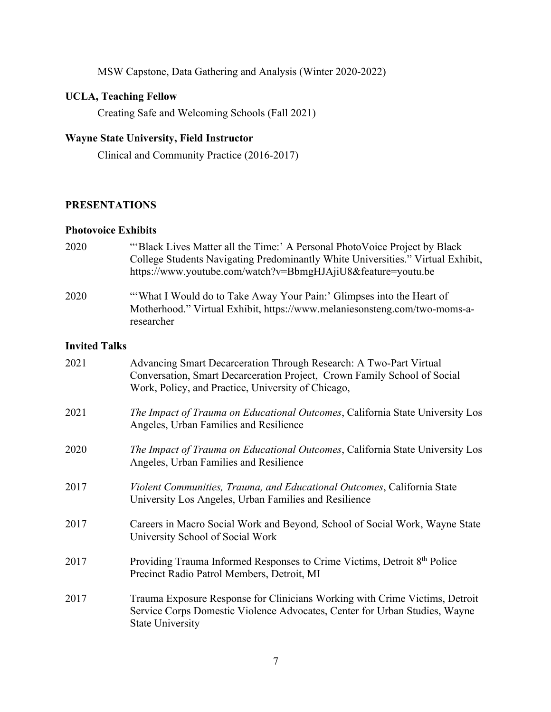MSW Capstone, Data Gathering and Analysis (Winter 2020-2022)

#### **UCLA, Teaching Fellow**

Creating Safe and Welcoming Schools (Fall 2021)

#### **Wayne State University, Field Instructor**

Clinical and Community Practice (2016-2017)

#### **PRESENTATIONS**

#### **Photovoice Exhibits**

- 2020 "'Black Lives Matter all the Time:' A Personal PhotoVoice Project by Black College Students Navigating Predominantly White Universities." Virtual Exhibit, https://www.youtube.com/watch?v=BbmgHJAjiU8&feature=youtu.be
- 2020 "'What I Would do to Take Away Your Pain:' Glimpses into the Heart of Motherhood." Virtual Exhibit, https://www.melaniesonsteng.com/two-moms-aresearcher

### **Invited Talks**

| 2021 | Advancing Smart Decarceration Through Research: A Two-Part Virtual<br>Conversation, Smart Decarceration Project, Crown Family School of Social<br>Work, Policy, and Practice, University of Chicago, |
|------|------------------------------------------------------------------------------------------------------------------------------------------------------------------------------------------------------|
| 2021 | The Impact of Trauma on Educational Outcomes, California State University Los<br>Angeles, Urban Families and Resilience                                                                              |
| 2020 | <i>The Impact of Trauma on Educational Outcomes, California State University Los</i><br>Angeles, Urban Families and Resilience                                                                       |
| 2017 | Violent Communities, Trauma, and Educational Outcomes, California State<br>University Los Angeles, Urban Families and Resilience                                                                     |
| 2017 | Careers in Macro Social Work and Beyond, School of Social Work, Wayne State<br>University School of Social Work                                                                                      |
| 2017 | Providing Trauma Informed Responses to Crime Victims, Detroit 8th Police<br>Precinct Radio Patrol Members, Detroit, MI                                                                               |
| 2017 | Trauma Exposure Response for Clinicians Working with Crime Victims, Detroit<br>Service Corps Domestic Violence Advocates, Center for Urban Studies, Wayne<br><b>State University</b>                 |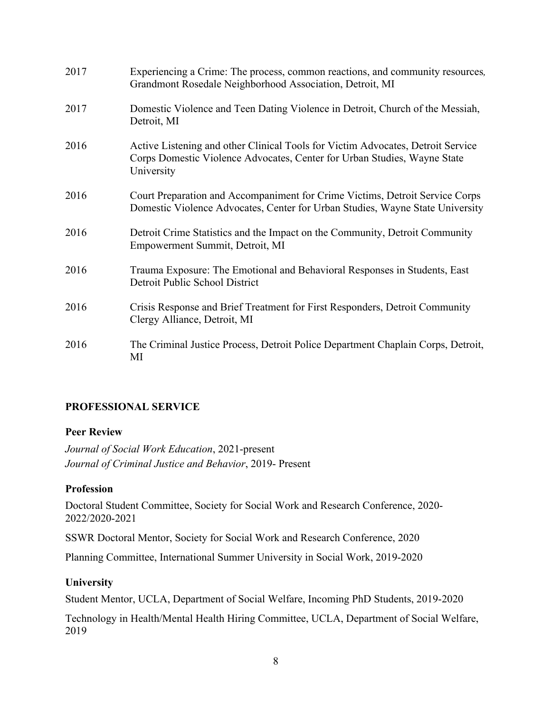| 2017 | Experiencing a Crime: The process, common reactions, and community resources,<br>Grandmont Rosedale Neighborhood Association, Detroit, MI                                 |
|------|---------------------------------------------------------------------------------------------------------------------------------------------------------------------------|
| 2017 | Domestic Violence and Teen Dating Violence in Detroit, Church of the Messiah,<br>Detroit, MI                                                                              |
| 2016 | Active Listening and other Clinical Tools for Victim Advocates, Detroit Service<br>Corps Domestic Violence Advocates, Center for Urban Studies, Wayne State<br>University |
| 2016 | Court Preparation and Accompaniment for Crime Victims, Detroit Service Corps<br>Domestic Violence Advocates, Center for Urban Studies, Wayne State University             |
| 2016 | Detroit Crime Statistics and the Impact on the Community, Detroit Community<br>Empowerment Summit, Detroit, MI                                                            |
| 2016 | Trauma Exposure: The Emotional and Behavioral Responses in Students, East<br>Detroit Public School District                                                               |
| 2016 | Crisis Response and Brief Treatment for First Responders, Detroit Community<br>Clergy Alliance, Detroit, MI                                                               |
| 2016 | The Criminal Justice Process, Detroit Police Department Chaplain Corps, Detroit,<br>MI                                                                                    |

### **PROFESSIONAL SERVICE**

#### **Peer Review**

*Journal of Social Work Education*, 2021-present *Journal of Criminal Justice and Behavior*, 2019- Present

#### **Profession**

Doctoral Student Committee, Society for Social Work and Research Conference, 2020- 2022/2020-2021

SSWR Doctoral Mentor, Society for Social Work and Research Conference, 2020

Planning Committee, International Summer University in Social Work, 2019-2020

#### **University**

Student Mentor, UCLA, Department of Social Welfare, Incoming PhD Students, 2019-2020

Technology in Health/Mental Health Hiring Committee, UCLA, Department of Social Welfare, 2019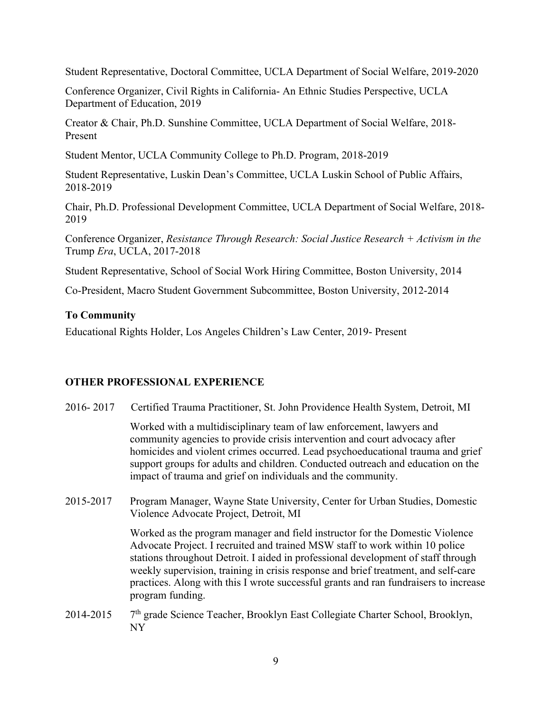Student Representative, Doctoral Committee, UCLA Department of Social Welfare, 2019-2020

Conference Organizer, Civil Rights in California- An Ethnic Studies Perspective, UCLA Department of Education, 2019

Creator & Chair, Ph.D. Sunshine Committee, UCLA Department of Social Welfare, 2018- Present

Student Mentor, UCLA Community College to Ph.D. Program, 2018-2019

Student Representative, Luskin Dean's Committee, UCLA Luskin School of Public Affairs, 2018-2019

Chair, Ph.D. Professional Development Committee, UCLA Department of Social Welfare, 2018- 2019

Conference Organizer, *Resistance Through Research: Social Justice Research + Activism in the*  Trump *Era*, UCLA, 2017-2018

Student Representative, School of Social Work Hiring Committee, Boston University, 2014

Co-President, Macro Student Government Subcommittee, Boston University, 2012-2014

### **To Community**

Educational Rights Holder, Los Angeles Children's Law Center, 2019- Present

### **OTHER PROFESSIONAL EXPERIENCE**

2016- 2017 Certified Trauma Practitioner, St. John Providence Health System, Detroit, MI

Worked with a multidisciplinary team of law enforcement, lawyers and community agencies to provide crisis intervention and court advocacy after homicides and violent crimes occurred. Lead psychoeducational trauma and grief support groups for adults and children. Conducted outreach and education on the impact of trauma and grief on individuals and the community.

2015-2017 Program Manager, Wayne State University, Center for Urban Studies, Domestic Violence Advocate Project, Detroit, MI

> Worked as the program manager and field instructor for the Domestic Violence Advocate Project. I recruited and trained MSW staff to work within 10 police stations throughout Detroit. I aided in professional development of staff through weekly supervision, training in crisis response and brief treatment, and self-care practices. Along with this I wrote successful grants and ran fundraisers to increase program funding.

2014-2015 7<sup>th</sup> grade Science Teacher, Brooklyn East Collegiate Charter School, Brooklyn, NY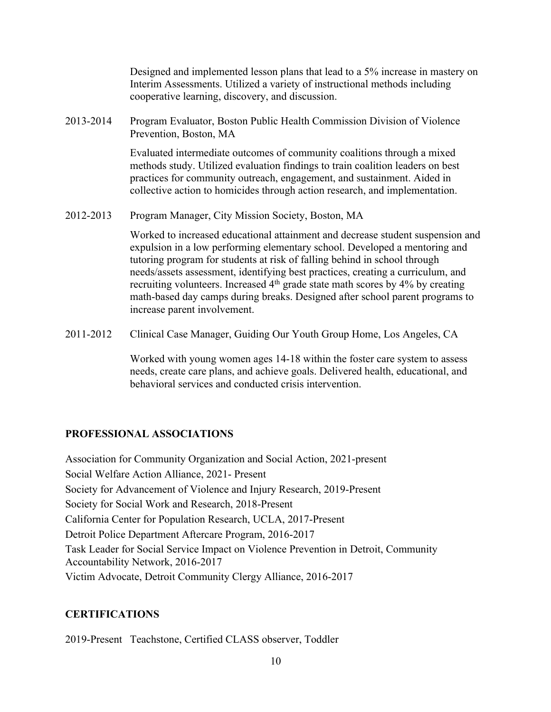Designed and implemented lesson plans that lead to a 5% increase in mastery on Interim Assessments. Utilized a variety of instructional methods including cooperative learning, discovery, and discussion.

2013-2014 Program Evaluator, Boston Public Health Commission Division of Violence Prevention, Boston, MA

> Evaluated intermediate outcomes of community coalitions through a mixed methods study. Utilized evaluation findings to train coalition leaders on best practices for community outreach, engagement, and sustainment. Aided in collective action to homicides through action research, and implementation.

2012-2013 Program Manager, City Mission Society, Boston, MA

Worked to increased educational attainment and decrease student suspension and expulsion in a low performing elementary school. Developed a mentoring and tutoring program for students at risk of falling behind in school through needs/assets assessment, identifying best practices, creating a curriculum, and recruiting volunteers. Increased 4th grade state math scores by 4% by creating math-based day camps during breaks. Designed after school parent programs to increase parent involvement.

2011-2012 Clinical Case Manager, Guiding Our Youth Group Home, Los Angeles, CA

Worked with young women ages 14-18 within the foster care system to assess needs, create care plans, and achieve goals. Delivered health, educational, and behavioral services and conducted crisis intervention.

### **PROFESSIONAL ASSOCIATIONS**

Association for Community Organization and Social Action, 2021-present Social Welfare Action Alliance, 2021- Present Society for Advancement of Violence and Injury Research, 2019-Present Society for Social Work and Research, 2018-Present California Center for Population Research, UCLA, 2017-Present Detroit Police Department Aftercare Program, 2016-2017 Task Leader for Social Service Impact on Violence Prevention in Detroit, Community Accountability Network, 2016-2017 Victim Advocate, Detroit Community Clergy Alliance, 2016-2017

## **CERTIFICATIONS**

2019-Present Teachstone, Certified CLASS observer, Toddler